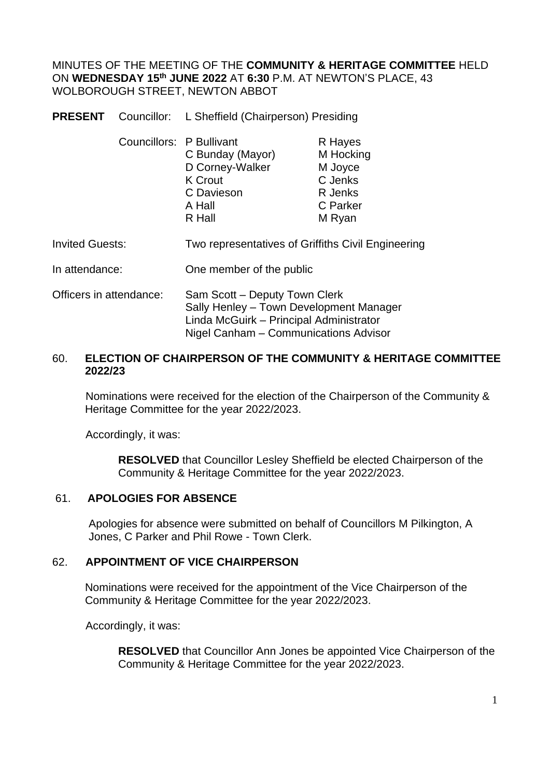MINUTES OF THE MEETING OF THE **COMMUNITY & HERITAGE COMMITTEE** HELD ON **WEDNESDAY 15th JUNE 2022** AT **6:30** P.M. AT NEWTON'S PLACE, 43 WOLBOROUGH STREET, NEWTON ABBOT

**PRESENT** Councillor: L Sheffield (Chairperson) Presiding

| Councillors: P Bullivant |                  | R Hayes   |
|--------------------------|------------------|-----------|
|                          | C Bunday (Mayor) | M Hocking |
|                          | D Corney-Walker  | M Joyce   |
|                          | <b>K</b> Crout   | C Jenks   |
|                          | C Davieson       | R Jenks   |
|                          | A Hall           | C Parker  |
|                          | R Hall           | M Ryan    |
|                          |                  |           |

- Invited Guests: Two representatives of Griffiths Civil Engineering
- In attendance: One member of the public
- Officers in attendance: Sam Scott Deputy Town Clerk Sally Henley – Town Development Manager Linda McGuirk – Principal Administrator Nigel Canham – Communications Advisor

### 60. **ELECTION OF CHAIRPERSON OF THE COMMUNITY & HERITAGE COMMITTEE 2022/23**

Nominations were received for the election of the Chairperson of the Community & Heritage Committee for the year 2022/2023.

Accordingly, it was:

**RESOLVED** that Councillor Lesley Sheffield be elected Chairperson of the Community & Heritage Committee for the year 2022/2023.

### 61. **APOLOGIES FOR ABSENCE**

Apologies for absence were submitted on behalf of Councillors M Pilkington, A Jones, C Parker and Phil Rowe - Town Clerk.

### 62. **APPOINTMENT OF VICE CHAIRPERSON**

Nominations were received for the appointment of the Vice Chairperson of the Community & Heritage Committee for the year 2022/2023.

Accordingly, it was:

**RESOLVED** that Councillor Ann Jones be appointed Vice Chairperson of the Community & Heritage Committee for the year 2022/2023.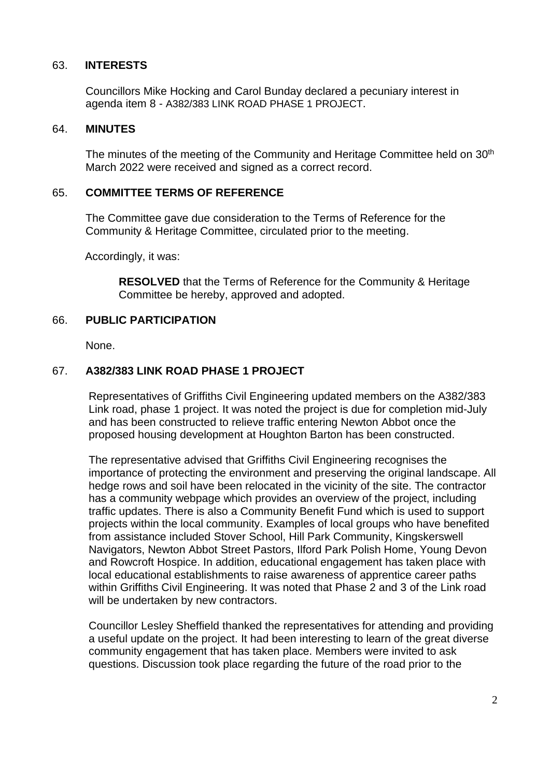#### 63. **INTERESTS**

Councillors Mike Hocking and Carol Bunday declared a pecuniary interest in agenda item 8 - A382/383 LINK ROAD PHASE 1 PROJECT.

#### 64. **MINUTES**

The minutes of the meeting of the Community and Heritage Committee held on 30th March 2022 were received and signed as a correct record.

#### 65. **COMMITTEE TERMS OF REFERENCE**

The Committee gave due consideration to the Terms of Reference for the Community & Heritage Committee, circulated prior to the meeting.

Accordingly, it was:

**RESOLVED** that the Terms of Reference for the Community & Heritage Committee be hereby, approved and adopted.

### 66. **PUBLIC PARTICIPATION**

None.

### 67. **A382/383 LINK ROAD PHASE 1 PROJECT**

Representatives of Griffiths Civil Engineering updated members on the A382/383 Link road, phase 1 project. It was noted the project is due for completion mid-July and has been constructed to relieve traffic entering Newton Abbot once the proposed housing development at Houghton Barton has been constructed.

The representative advised that Griffiths Civil Engineering recognises the importance of protecting the environment and preserving the original landscape. All hedge rows and soil have been relocated in the vicinity of the site. The contractor has a community webpage which provides an overview of the project, including traffic updates. There is also a Community Benefit Fund which is used to support projects within the local community. Examples of local groups who have benefited from assistance included Stover School, Hill Park Community, Kingskerswell Navigators, Newton Abbot Street Pastors, Ilford Park Polish Home, Young Devon and Rowcroft Hospice. In addition, educational engagement has taken place with local educational establishments to raise awareness of apprentice career paths within Griffiths Civil Engineering. It was noted that Phase 2 and 3 of the Link road will be undertaken by new contractors.

Councillor Lesley Sheffield thanked the representatives for attending and providing a useful update on the project. It had been interesting to learn of the great diverse community engagement that has taken place. Members were invited to ask questions. Discussion took place regarding the future of the road prior to the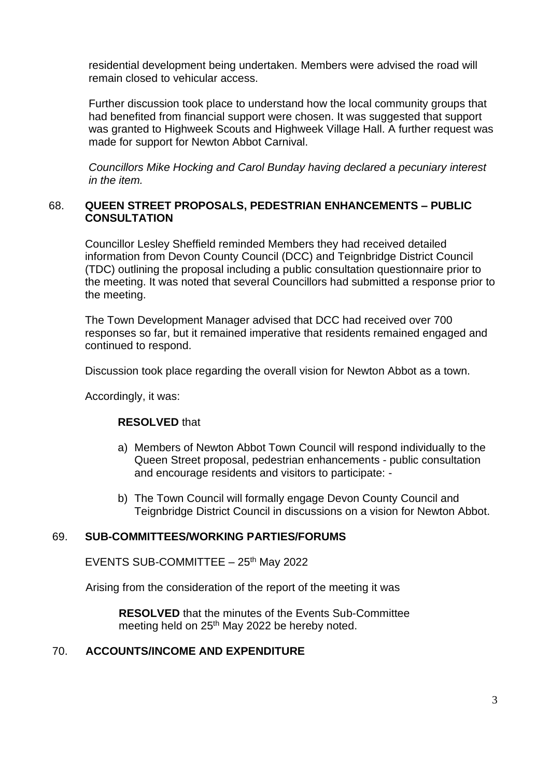residential development being undertaken. Members were advised the road will remain closed to vehicular access.

Further discussion took place to understand how the local community groups that had benefited from financial support were chosen. It was suggested that support was granted to Highweek Scouts and Highweek Village Hall. A further request was made for support for Newton Abbot Carnival.

*Councillors Mike Hocking and Carol Bunday having declared a pecuniary interest in the item.*

### 68. **QUEEN STREET PROPOSALS, PEDESTRIAN ENHANCEMENTS – PUBLIC CONSULTATION**

Councillor Lesley Sheffield reminded Members they had received detailed information from Devon County Council (DCC) and Teignbridge District Council (TDC) outlining the proposal including a public consultation questionnaire prior to the meeting. It was noted that several Councillors had submitted a response prior to the meeting.

The Town Development Manager advised that DCC had received over 700 responses so far, but it remained imperative that residents remained engaged and continued to respond.

Discussion took place regarding the overall vision for Newton Abbot as a town.

Accordingly, it was:

### **RESOLVED** that

- a) Members of Newton Abbot Town Council will respond individually to the Queen Street proposal, pedestrian enhancements - public consultation and encourage residents and visitors to participate: -
- b) The Town Council will formally engage Devon County Council and Teignbridge District Council in discussions on a vision for Newton Abbot.

### 69. **SUB-COMMITTEES/WORKING PARTIES/FORUMS**

EVENTS SUB-COMMITTEE  $-25$ <sup>th</sup> May 2022

Arising from the consideration of the report of the meeting it was

**RESOLVED** that the minutes of the Events Sub-Committee meeting held on 25<sup>th</sup> May 2022 be hereby noted.

## 70. **ACCOUNTS/INCOME AND EXPENDITURE**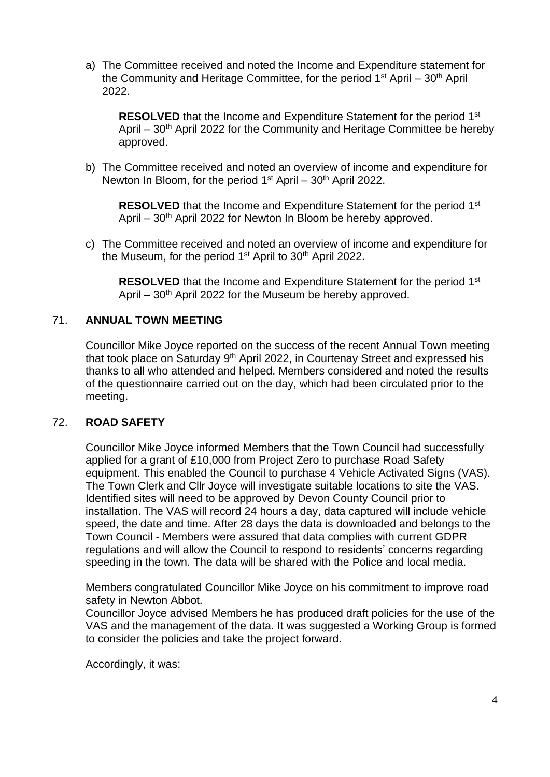a) The Committee received and noted the Income and Expenditure statement for the Community and Heritage Committee, for the period  $1<sup>st</sup>$  April –  $30<sup>th</sup>$  April 2022.

**RESOLVED** that the Income and Expenditure Statement for the period 1<sup>st</sup> April – 30<sup>th</sup> April 2022 for the Community and Heritage Committee be hereby approved.

b) The Committee received and noted an overview of income and expenditure for Newton In Bloom, for the period  $1<sup>st</sup>$  April – 30<sup>th</sup> April 2022.

**RESOLVED** that the Income and Expenditure Statement for the period 1<sup>st</sup> April – 30<sup>th</sup> April 2022 for Newton In Bloom be hereby approved.

c) The Committee received and noted an overview of income and expenditure for the Museum, for the period 1<sup>st</sup> April to 30<sup>th</sup> April 2022.

**RESOLVED** that the Income and Expenditure Statement for the period 1<sup>st</sup> April –  $30<sup>th</sup>$  April 2022 for the Museum be hereby approved.

### 71. **ANNUAL TOWN MEETING**

Councillor Mike Joyce reported on the success of the recent Annual Town meeting that took place on Saturday 9<sup>th</sup> April 2022, in Courtenay Street and expressed his thanks to all who attended and helped. Members considered and noted the results of the questionnaire carried out on the day, which had been circulated prior to the meeting.

#### 72. **ROAD SAFETY**

Councillor Mike Joyce informed Members that the Town Council had successfully applied for a grant of £10,000 from Project Zero to purchase Road Safety equipment. This enabled the Council to purchase 4 Vehicle Activated Signs (VAS). The Town Clerk and Cllr Joyce will investigate suitable locations to site the VAS. Identified sites will need to be approved by Devon County Council prior to installation. The VAS will record 24 hours a day, data captured will include vehicle speed, the date and time. After 28 days the data is downloaded and belongs to the Town Council - Members were assured that data complies with current GDPR regulations and will allow the Council to respond to residents' concerns regarding speeding in the town. The data will be shared with the Police and local media.

Members congratulated Councillor Mike Joyce on his commitment to improve road safety in Newton Abbot.

Councillor Joyce advised Members he has produced draft policies for the use of the VAS and the management of the data. It was suggested a Working Group is formed to consider the policies and take the project forward.

Accordingly, it was: